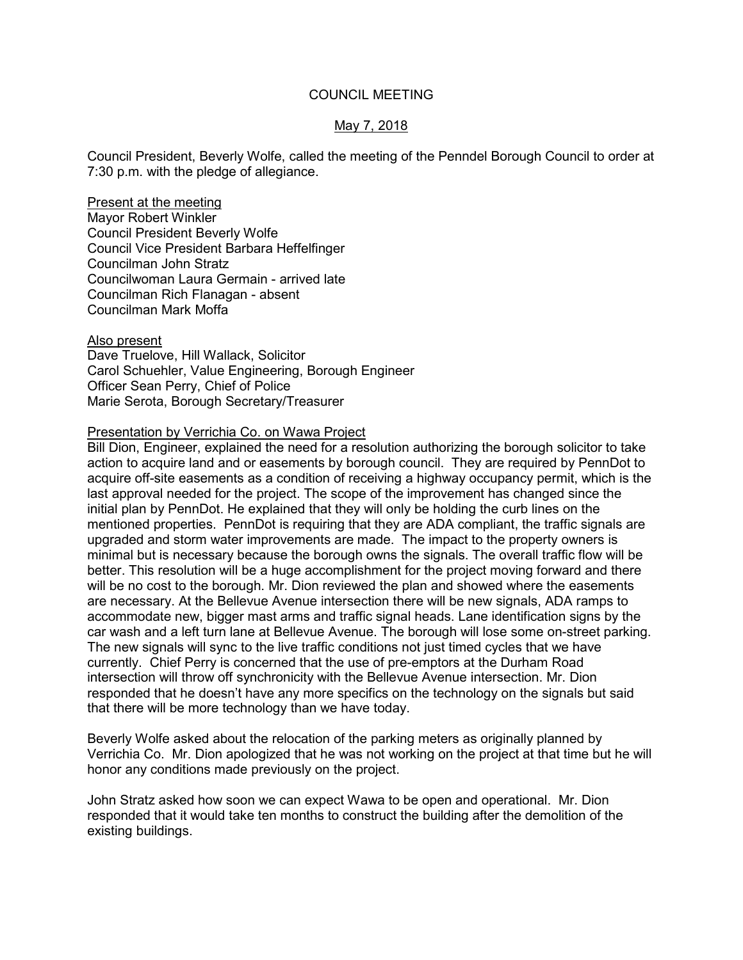# COUNCIL MEETING

# May 7, 2018

Council President, Beverly Wolfe, called the meeting of the Penndel Borough Council to order at 7:30 p.m. with the pledge of allegiance.

Present at the meeting Mayor Robert Winkler Council President Beverly Wolfe Council Vice President Barbara Heffelfinger Councilman John Stratz Councilwoman Laura Germain - arrived late Councilman Rich Flanagan - absent Councilman Mark Moffa

Also present Dave Truelove, Hill Wallack, Solicitor Carol Schuehler, Value Engineering, Borough Engineer Officer Sean Perry, Chief of Police Marie Serota, Borough Secretary/Treasurer

# Presentation by Verrichia Co. on Wawa Project

Bill Dion, Engineer, explained the need for a resolution authorizing the borough solicitor to take action to acquire land and or easements by borough council. They are required by PennDot to acquire off-site easements as a condition of receiving a highway occupancy permit, which is the last approval needed for the project. The scope of the improvement has changed since the initial plan by PennDot. He explained that they will only be holding the curb lines on the mentioned properties. PennDot is requiring that they are ADA compliant, the traffic signals are upgraded and storm water improvements are made. The impact to the property owners is minimal but is necessary because the borough owns the signals. The overall traffic flow will be better. This resolution will be a huge accomplishment for the project moving forward and there will be no cost to the borough. Mr. Dion reviewed the plan and showed where the easements are necessary. At the Bellevue Avenue intersection there will be new signals, ADA ramps to accommodate new, bigger mast arms and traffic signal heads. Lane identification signs by the car wash and a left turn lane at Bellevue Avenue. The borough will lose some on-street parking. The new signals will sync to the live traffic conditions not just timed cycles that we have currently. Chief Perry is concerned that the use of pre-emptors at the Durham Road intersection will throw off synchronicity with the Bellevue Avenue intersection. Mr. Dion responded that he doesn't have any more specifics on the technology on the signals but said that there will be more technology than we have today.

Beverly Wolfe asked about the relocation of the parking meters as originally planned by Verrichia Co. Mr. Dion apologized that he was not working on the project at that time but he will honor any conditions made previously on the project.

John Stratz asked how soon we can expect Wawa to be open and operational. Mr. Dion responded that it would take ten months to construct the building after the demolition of the existing buildings.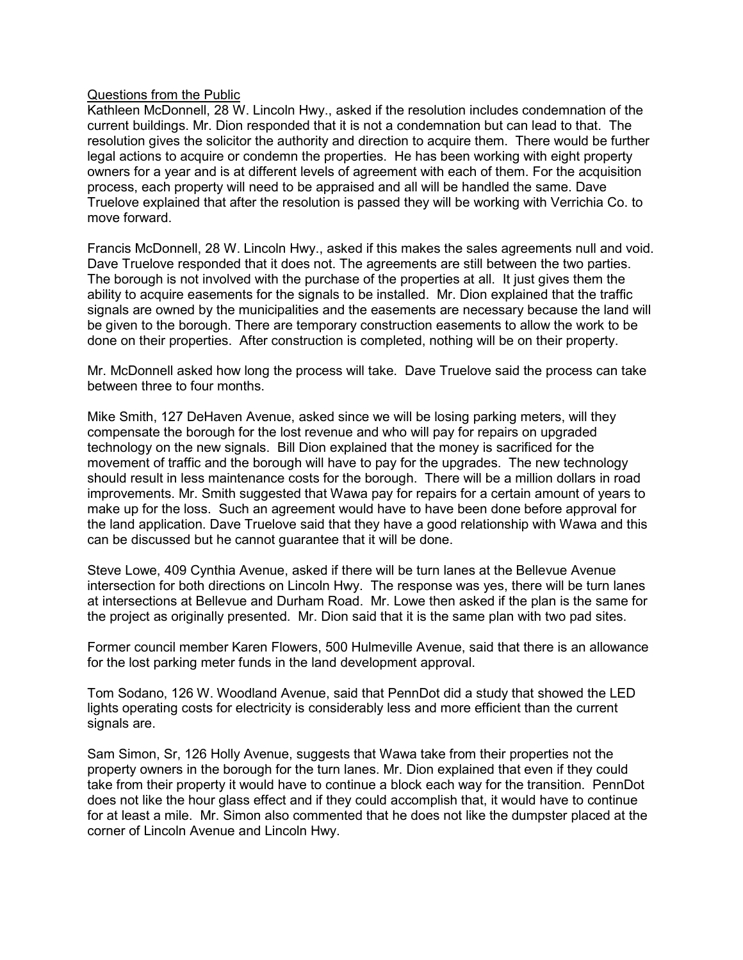# Questions from the Public

Kathleen McDonnell, 28 W. Lincoln Hwy., asked if the resolution includes condemnation of the current buildings. Mr. Dion responded that it is not a condemnation but can lead to that. The resolution gives the solicitor the authority and direction to acquire them. There would be further legal actions to acquire or condemn the properties. He has been working with eight property owners for a year and is at different levels of agreement with each of them. For the acquisition process, each property will need to be appraised and all will be handled the same. Dave Truelove explained that after the resolution is passed they will be working with Verrichia Co. to move forward.

Francis McDonnell, 28 W. Lincoln Hwy., asked if this makes the sales agreements null and void. Dave Truelove responded that it does not. The agreements are still between the two parties. The borough is not involved with the purchase of the properties at all. It just gives them the ability to acquire easements for the signals to be installed. Mr. Dion explained that the traffic signals are owned by the municipalities and the easements are necessary because the land will be given to the borough. There are temporary construction easements to allow the work to be done on their properties. After construction is completed, nothing will be on their property.

Mr. McDonnell asked how long the process will take. Dave Truelove said the process can take between three to four months.

Mike Smith, 127 DeHaven Avenue, asked since we will be losing parking meters, will they compensate the borough for the lost revenue and who will pay for repairs on upgraded technology on the new signals. Bill Dion explained that the money is sacrificed for the movement of traffic and the borough will have to pay for the upgrades. The new technology should result in less maintenance costs for the borough. There will be a million dollars in road improvements. Mr. Smith suggested that Wawa pay for repairs for a certain amount of years to make up for the loss. Such an agreement would have to have been done before approval for the land application. Dave Truelove said that they have a good relationship with Wawa and this can be discussed but he cannot guarantee that it will be done.

Steve Lowe, 409 Cynthia Avenue, asked if there will be turn lanes at the Bellevue Avenue intersection for both directions on Lincoln Hwy. The response was yes, there will be turn lanes at intersections at Bellevue and Durham Road. Mr. Lowe then asked if the plan is the same for the project as originally presented. Mr. Dion said that it is the same plan with two pad sites.

Former council member Karen Flowers, 500 Hulmeville Avenue, said that there is an allowance for the lost parking meter funds in the land development approval.

Tom Sodano, 126 W. Woodland Avenue, said that PennDot did a study that showed the LED lights operating costs for electricity is considerably less and more efficient than the current signals are.

Sam Simon, Sr, 126 Holly Avenue, suggests that Wawa take from their properties not the property owners in the borough for the turn lanes. Mr. Dion explained that even if they could take from their property it would have to continue a block each way for the transition. PennDot does not like the hour glass effect and if they could accomplish that, it would have to continue for at least a mile. Mr. Simon also commented that he does not like the dumpster placed at the corner of Lincoln Avenue and Lincoln Hwy.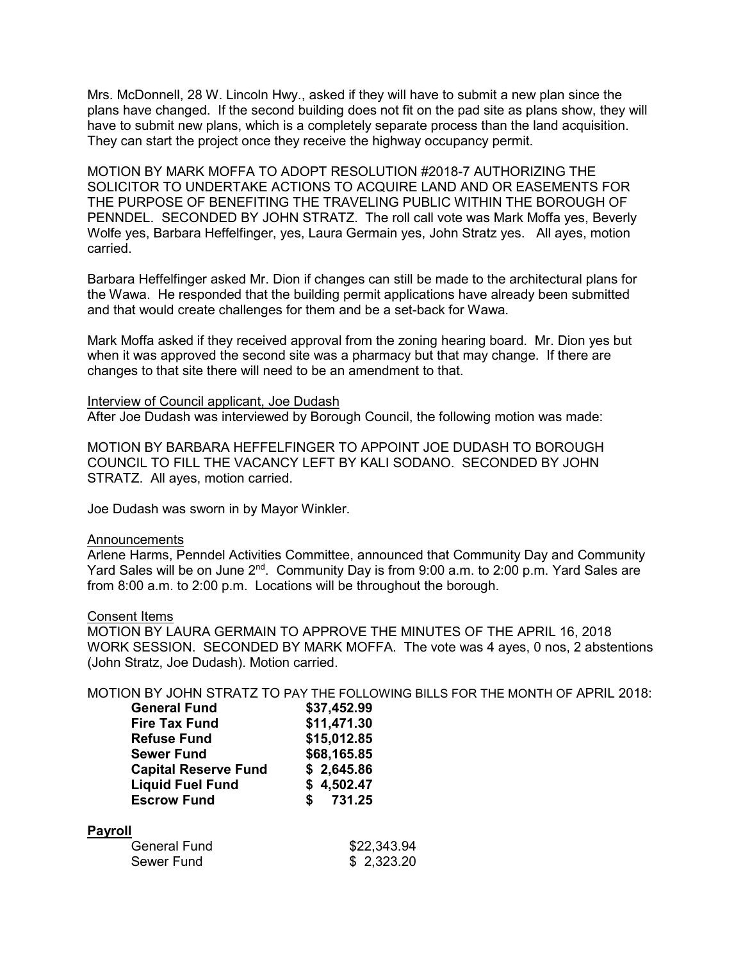Mrs. McDonnell, 28 W. Lincoln Hwy., asked if they will have to submit a new plan since the plans have changed. If the second building does not fit on the pad site as plans show, they will have to submit new plans, which is a completely separate process than the land acquisition. They can start the project once they receive the highway occupancy permit.

MOTION BY MARK MOFFA TO ADOPT RESOLUTION #2018-7 AUTHORIZING THE SOLICITOR TO UNDERTAKE ACTIONS TO ACQUIRE LAND AND OR EASEMENTS FOR THE PURPOSE OF BENEFITING THE TRAVELING PUBLIC WITHIN THE BOROUGH OF PENNDEL. SECONDED BY JOHN STRATZ. The roll call vote was Mark Moffa yes, Beverly Wolfe yes, Barbara Heffelfinger, yes, Laura Germain yes, John Stratz yes. All ayes, motion carried.

Barbara Heffelfinger asked Mr. Dion if changes can still be made to the architectural plans for the Wawa. He responded that the building permit applications have already been submitted and that would create challenges for them and be a set-back for Wawa.

Mark Moffa asked if they received approval from the zoning hearing board. Mr. Dion yes but when it was approved the second site was a pharmacy but that may change. If there are changes to that site there will need to be an amendment to that.

### Interview of Council applicant, Joe Dudash

After Joe Dudash was interviewed by Borough Council, the following motion was made:

MOTION BY BARBARA HEFFELFINGER TO APPOINT JOE DUDASH TO BOROUGH COUNCIL TO FILL THE VACANCY LEFT BY KALI SODANO. SECONDED BY JOHN STRATZ. All ayes, motion carried.

Joe Dudash was sworn in by Mayor Winkler.

### Announcements

Arlene Harms, Penndel Activities Committee, announced that Community Day and Community Yard Sales will be on June 2<sup>nd</sup>. Community Day is from 9:00 a.m. to 2:00 p.m. Yard Sales are from 8:00 a.m. to 2:00 p.m. Locations will be throughout the borough.

### Consent Items

MOTION BY LAURA GERMAIN TO APPROVE THE MINUTES OF THE APRIL 16, 2018 WORK SESSION. SECONDED BY MARK MOFFA. The vote was 4 ayes, 0 nos, 2 abstentions (John Stratz, Joe Dudash). Motion carried.

MOTION BY JOHN STRATZ TO PAY THE FOLLOWING BILLS FOR THE MONTH OF APRIL 2018:

| <b>General Fund</b>         | \$37,452.99 |
|-----------------------------|-------------|
| <b>Fire Tax Fund</b>        | \$11,471.30 |
| <b>Refuse Fund</b>          | \$15,012.85 |
| <b>Sewer Fund</b>           | \$68,165.85 |
| <b>Capital Reserve Fund</b> | \$2,645.86  |
| <b>Liquid Fuel Fund</b>     | \$4,502.47  |
| <b>Escrow Fund</b>          | \$731.25    |
|                             |             |

### **Payroll**

| General Fund | \$22,343.94 |
|--------------|-------------|
| Sewer Fund   | \$2,323.20  |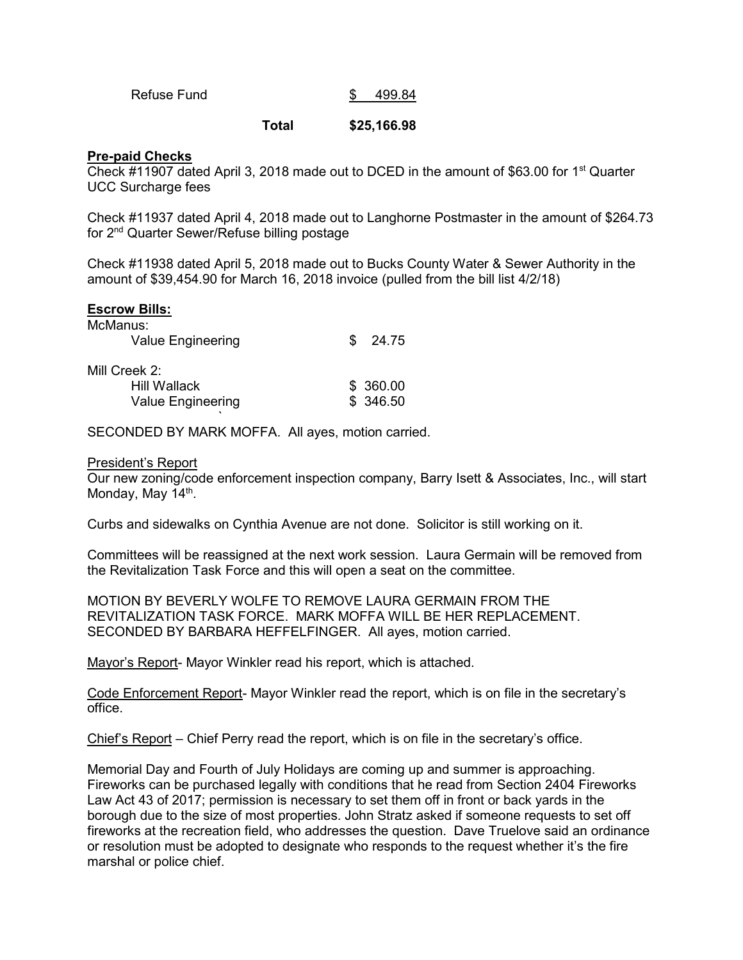| Refuse Fund |  | 499.84 |
|-------------|--|--------|
|-------------|--|--------|

## **Total \$25,166.98**

# **Pre-paid Checks**

Check #11907 dated April 3, 2018 made out to DCED in the amount of \$63.00 for 1<sup>st</sup> Quarter UCC Surcharge fees

Check #11937 dated April 4, 2018 made out to Langhorne Postmaster in the amount of \$264.73 for 2nd Quarter Sewer/Refuse billing postage

Check #11938 dated April 5, 2018 made out to Bucks County Water & Sewer Authority in the amount of \$39,454.90 for March 16, 2018 invoice (pulled from the bill list 4/2/18)

## **Escrow Bills:**

| McManus:                 | S.        |       |
|--------------------------|-----------|-------|
| <b>Value Engineering</b> |           | 24.75 |
| Mill Creek 2:            |           |       |
| <b>Hill Wallack</b>      | \$ 360.00 |       |
| Value Engineering        | \$346.50  |       |

SECONDED BY MARK MOFFA. All ayes, motion carried.

### President's Report

the contract of the contract of the contract of the contract of the contract of the contract of the contract of

Our new zoning/code enforcement inspection company, Barry Isett & Associates, Inc., will start Monday, May 14<sup>th</sup>.

Curbs and sidewalks on Cynthia Avenue are not done. Solicitor is still working on it.

Committees will be reassigned at the next work session. Laura Germain will be removed from the Revitalization Task Force and this will open a seat on the committee.

MOTION BY BEVERLY WOLFE TO REMOVE LAURA GERMAIN FROM THE REVITALIZATION TASK FORCE. MARK MOFFA WILL BE HER REPLACEMENT. SECONDED BY BARBARA HEFFELFINGER. All ayes, motion carried.

Mayor's Report- Mayor Winkler read his report, which is attached.

Code Enforcement Report- Mayor Winkler read the report, which is on file in the secretary's office.

Chief's Report – Chief Perry read the report, which is on file in the secretary's office.

Memorial Day and Fourth of July Holidays are coming up and summer is approaching. Fireworks can be purchased legally with conditions that he read from Section 2404 Fireworks Law Act 43 of 2017; permission is necessary to set them off in front or back yards in the borough due to the size of most properties. John Stratz asked if someone requests to set off fireworks at the recreation field, who addresses the question. Dave Truelove said an ordinance or resolution must be adopted to designate who responds to the request whether it's the fire marshal or police chief.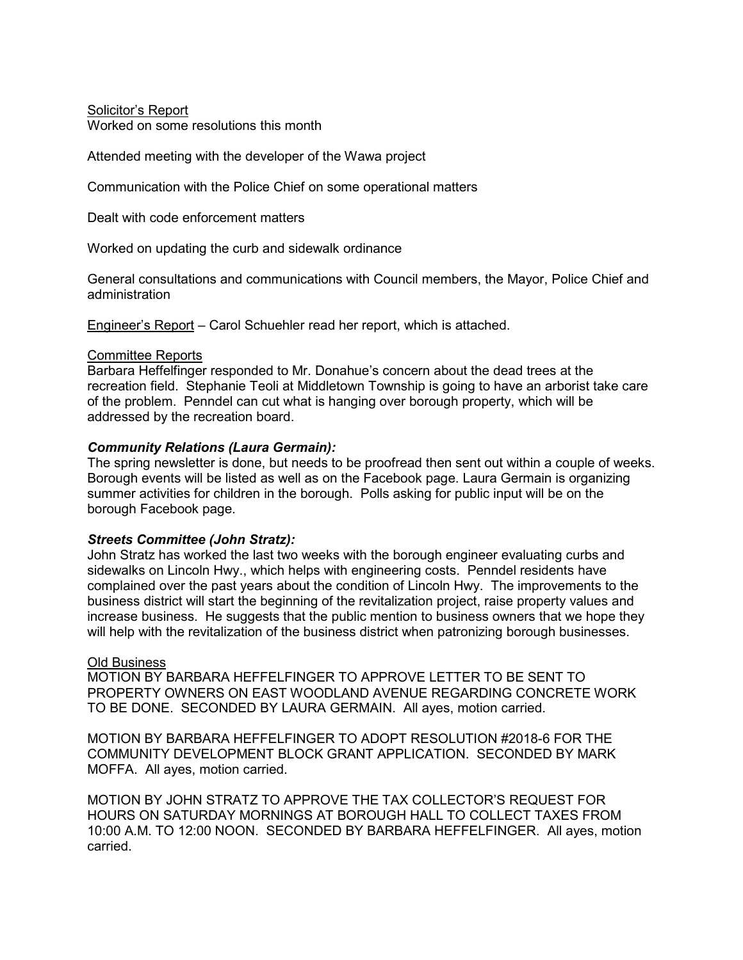Solicitor's Report Worked on some resolutions this month

Attended meeting with the developer of the Wawa project

Communication with the Police Chief on some operational matters

Dealt with code enforcement matters

Worked on updating the curb and sidewalk ordinance

General consultations and communications with Council members, the Mayor, Police Chief and administration

Engineer's Report – Carol Schuehler read her report, which is attached.

# Committee Reports

Barbara Heffelfinger responded to Mr. Donahue's concern about the dead trees at the recreation field. Stephanie Teoli at Middletown Township is going to have an arborist take care of the problem. Penndel can cut what is hanging over borough property, which will be addressed by the recreation board.

# *Community Relations (Laura Germain):*

The spring newsletter is done, but needs to be proofread then sent out within a couple of weeks. Borough events will be listed as well as on the Facebook page. Laura Germain is organizing summer activities for children in the borough. Polls asking for public input will be on the borough Facebook page.

# *Streets Committee (John Stratz):*

John Stratz has worked the last two weeks with the borough engineer evaluating curbs and sidewalks on Lincoln Hwy., which helps with engineering costs. Penndel residents have complained over the past years about the condition of Lincoln Hwy. The improvements to the business district will start the beginning of the revitalization project, raise property values and increase business. He suggests that the public mention to business owners that we hope they will help with the revitalization of the business district when patronizing borough businesses.

# Old Business

MOTION BY BARBARA HEFFELFINGER TO APPROVE LETTER TO BE SENT TO PROPERTY OWNERS ON EAST WOODLAND AVENUE REGARDING CONCRETE WORK TO BE DONE. SECONDED BY LAURA GERMAIN. All ayes, motion carried.

MOTION BY BARBARA HEFFELFINGER TO ADOPT RESOLUTION #2018-6 FOR THE COMMUNITY DEVELOPMENT BLOCK GRANT APPLICATION. SECONDED BY MARK MOFFA. All ayes, motion carried.

MOTION BY JOHN STRATZ TO APPROVE THE TAX COLLECTOR'S REQUEST FOR HOURS ON SATURDAY MORNINGS AT BOROUGH HALL TO COLLECT TAXES FROM 10:00 A.M. TO 12:00 NOON. SECONDED BY BARBARA HEFFELFINGER. All ayes, motion carried.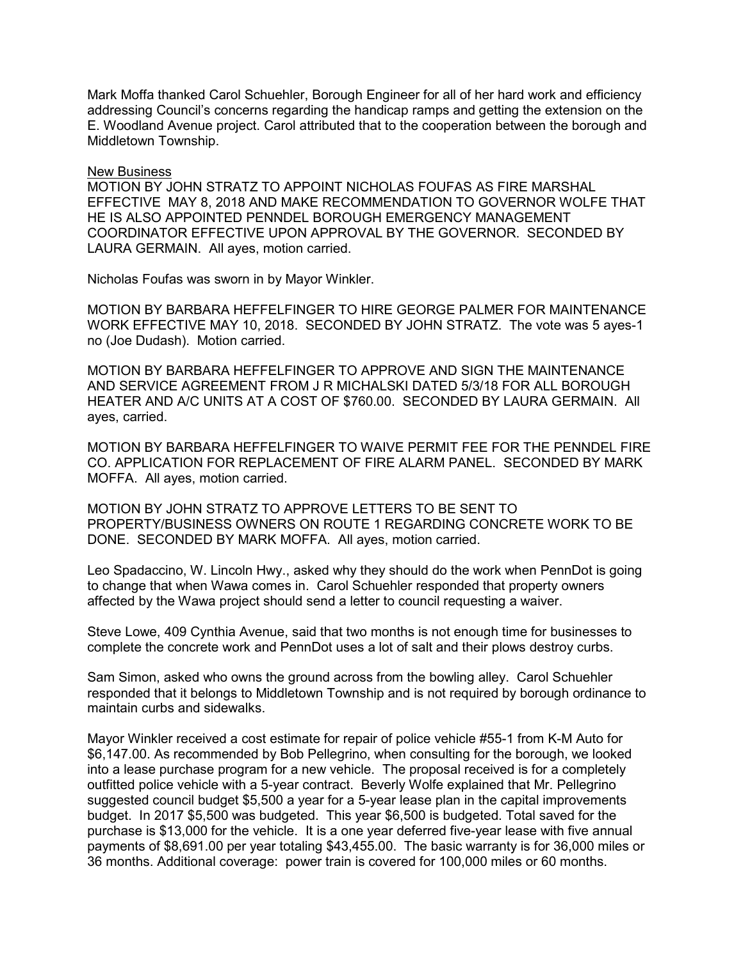Mark Moffa thanked Carol Schuehler, Borough Engineer for all of her hard work and efficiency addressing Council's concerns regarding the handicap ramps and getting the extension on the E. Woodland Avenue project. Carol attributed that to the cooperation between the borough and Middletown Township.

### New Business

MOTION BY JOHN STRATZ TO APPOINT NICHOLAS FOUFAS AS FIRE MARSHAL EFFECTIVE MAY 8, 2018 AND MAKE RECOMMENDATION TO GOVERNOR WOLFE THAT HE IS ALSO APPOINTED PENNDEL BOROUGH EMERGENCY MANAGEMENT COORDINATOR EFFECTIVE UPON APPROVAL BY THE GOVERNOR. SECONDED BY LAURA GERMAIN. All ayes, motion carried.

Nicholas Foufas was sworn in by Mayor Winkler.

MOTION BY BARBARA HEFFELFINGER TO HIRE GEORGE PALMER FOR MAINTENANCE WORK EFFECTIVE MAY 10, 2018. SECONDED BY JOHN STRATZ. The vote was 5 ayes-1 no (Joe Dudash). Motion carried.

MOTION BY BARBARA HEFFELFINGER TO APPROVE AND SIGN THE MAINTENANCE AND SERVICE AGREEMENT FROM J R MICHALSKI DATED 5/3/18 FOR ALL BOROUGH HEATER AND A/C UNITS AT A COST OF \$760.00. SECONDED BY LAURA GERMAIN. All ayes, carried.

MOTION BY BARBARA HEFFELFINGER TO WAIVE PERMIT FEE FOR THE PENNDEL FIRE CO. APPLICATION FOR REPLACEMENT OF FIRE ALARM PANEL. SECONDED BY MARK MOFFA. All ayes, motion carried.

MOTION BY JOHN STRATZ TO APPROVE LETTERS TO BE SENT TO PROPERTY/BUSINESS OWNERS ON ROUTE 1 REGARDING CONCRETE WORK TO BE DONE. SECONDED BY MARK MOFFA. All ayes, motion carried.

Leo Spadaccino, W. Lincoln Hwy., asked why they should do the work when PennDot is going to change that when Wawa comes in. Carol Schuehler responded that property owners affected by the Wawa project should send a letter to council requesting a waiver.

Steve Lowe, 409 Cynthia Avenue, said that two months is not enough time for businesses to complete the concrete work and PennDot uses a lot of salt and their plows destroy curbs.

Sam Simon, asked who owns the ground across from the bowling alley. Carol Schuehler responded that it belongs to Middletown Township and is not required by borough ordinance to maintain curbs and sidewalks.

Mayor Winkler received a cost estimate for repair of police vehicle #55-1 from K-M Auto for \$6,147.00. As recommended by Bob Pellegrino, when consulting for the borough, we looked into a lease purchase program for a new vehicle. The proposal received is for a completely outfitted police vehicle with a 5-year contract. Beverly Wolfe explained that Mr. Pellegrino suggested council budget \$5,500 a year for a 5-year lease plan in the capital improvements budget. In 2017 \$5,500 was budgeted. This year \$6,500 is budgeted. Total saved for the purchase is \$13,000 for the vehicle. It is a one year deferred five-year lease with five annual payments of \$8,691.00 per year totaling \$43,455.00. The basic warranty is for 36,000 miles or 36 months. Additional coverage: power train is covered for 100,000 miles or 60 months.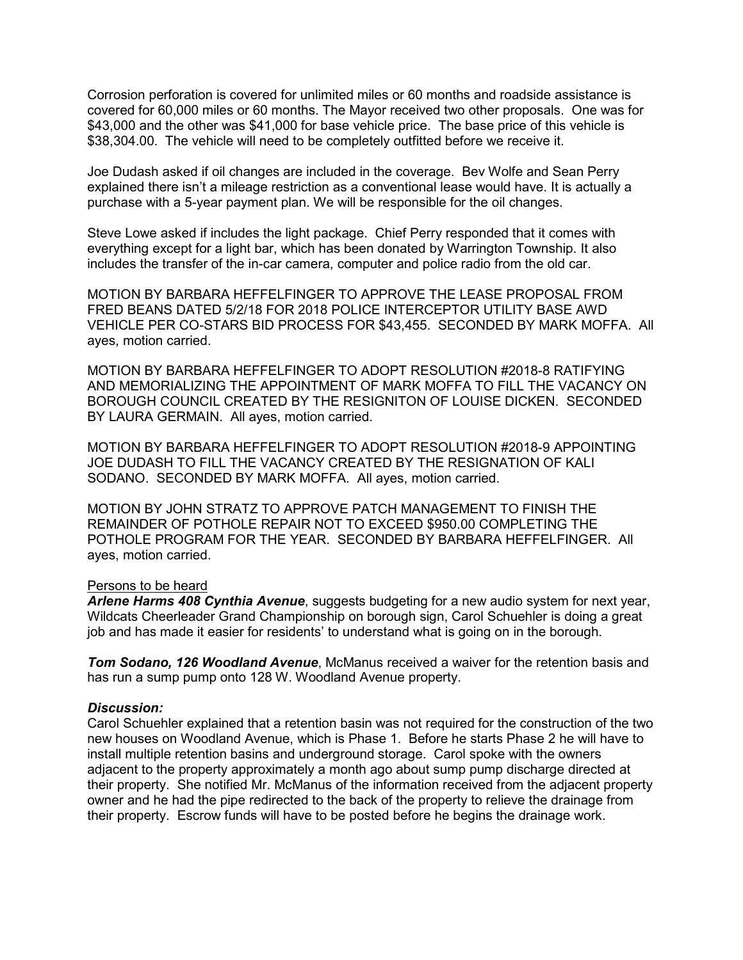Corrosion perforation is covered for unlimited miles or 60 months and roadside assistance is covered for 60,000 miles or 60 months. The Mayor received two other proposals. One was for \$43,000 and the other was \$41,000 for base vehicle price. The base price of this vehicle is \$38,304.00. The vehicle will need to be completely outfitted before we receive it.

Joe Dudash asked if oil changes are included in the coverage. Bev Wolfe and Sean Perry explained there isn't a mileage restriction as a conventional lease would have. It is actually a purchase with a 5-year payment plan. We will be responsible for the oil changes.

Steve Lowe asked if includes the light package. Chief Perry responded that it comes with everything except for a light bar, which has been donated by Warrington Township. It also includes the transfer of the in-car camera, computer and police radio from the old car.

MOTION BY BARBARA HEFFELFINGER TO APPROVE THE LEASE PROPOSAL FROM FRED BEANS DATED 5/2/18 FOR 2018 POLICE INTERCEPTOR UTILITY BASE AWD VEHICLE PER CO-STARS BID PROCESS FOR \$43,455. SECONDED BY MARK MOFFA. All ayes, motion carried.

MOTION BY BARBARA HEFFELFINGER TO ADOPT RESOLUTION #2018-8 RATIFYING AND MEMORIALIZING THE APPOINTMENT OF MARK MOFFA TO FILL THE VACANCY ON BOROUGH COUNCIL CREATED BY THE RESIGNITON OF LOUISE DICKEN. SECONDED BY LAURA GERMAIN. All ayes, motion carried.

MOTION BY BARBARA HEFFELFINGER TO ADOPT RESOLUTION #2018-9 APPOINTING JOE DUDASH TO FILL THE VACANCY CREATED BY THE RESIGNATION OF KALI SODANO. SECONDED BY MARK MOFFA. All ayes, motion carried.

MOTION BY JOHN STRATZ TO APPROVE PATCH MANAGEMENT TO FINISH THE REMAINDER OF POTHOLE REPAIR NOT TO EXCEED \$950.00 COMPLETING THE POTHOLE PROGRAM FOR THE YEAR. SECONDED BY BARBARA HEFFELFINGER. All ayes, motion carried.

# Persons to be heard

*Arlene Harms 408 Cynthia Avenue*, suggests budgeting for a new audio system for next year, Wildcats Cheerleader Grand Championship on borough sign, Carol Schuehler is doing a great job and has made it easier for residents' to understand what is going on in the borough.

*Tom Sodano, 126 Woodland Avenue*, McManus received a waiver for the retention basis and has run a sump pump onto 128 W. Woodland Avenue property.

# *Discussion:*

Carol Schuehler explained that a retention basin was not required for the construction of the two new houses on Woodland Avenue, which is Phase 1. Before he starts Phase 2 he will have to install multiple retention basins and underground storage. Carol spoke with the owners adjacent to the property approximately a month ago about sump pump discharge directed at their property. She notified Mr. McManus of the information received from the adjacent property owner and he had the pipe redirected to the back of the property to relieve the drainage from their property. Escrow funds will have to be posted before he begins the drainage work.